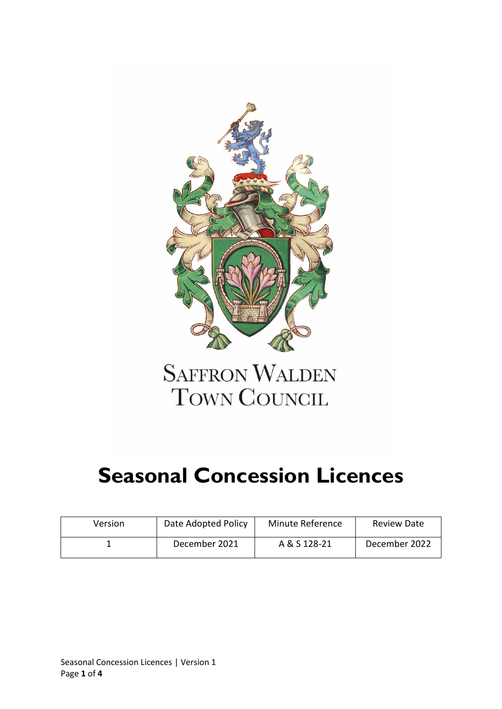

## **SAFFRON WALDEN** TOWN COUNCIL

# **Seasonal Concession Licences**

| Version | Date Adopted Policy | Minute Reference | <b>Review Date</b> |
|---------|---------------------|------------------|--------------------|
|         | December 2021       | A & S 128-21     | December 2022      |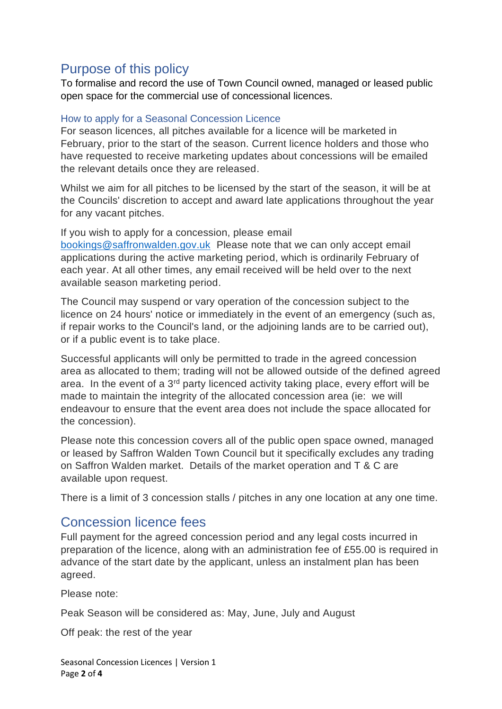## Purpose of this policy

To formalise and record the use of Town Council owned, managed or leased public open space for the commercial use of concessional licences.

#### How to apply for a Seasonal Concession Licence

For season licences, all pitches available for a licence will be marketed in February, prior to the start of the season. Current licence holders and those who have requested to receive marketing updates about concessions will be emailed the relevant details once they are released.

Whilst we aim for all pitches to be licensed by the start of the season, it will be at the Councils' discretion to accept and award late applications throughout the year for any vacant pitches.

If you wish to apply for a concession, please email [bookings@saffronwalden.gov.uk](mailto:bookings@saffronwalden.gov.uk) Please note that we can only accept email applications during the active marketing period, which is ordinarily February of each year. At all other times, any email received will be held over to the next available season marketing period.

The Council may suspend or vary operation of the concession subject to the licence on 24 hours' notice or immediately in the event of an emergency (such as, if repair works to the Council's land, or the adjoining lands are to be carried out), or if a public event is to take place.

Successful applicants will only be permitted to trade in the agreed concession area as allocated to them; trading will not be allowed outside of the defined agreed area. In the event of a  $3<sup>rd</sup>$  party licenced activity taking place, every effort will be made to maintain the integrity of the allocated concession area (ie: we will endeavour to ensure that the event area does not include the space allocated for the concession).

Please note this concession covers all of the public open space owned, managed or leased by Saffron Walden Town Council but it specifically excludes any trading on Saffron Walden market. Details of the market operation and T & C are available upon request.

There is a limit of 3 concession stalls / pitches in any one location at any one time.

### Concession licence fees

Full payment for the agreed concession period and any legal costs incurred in preparation of the licence, along with an administration fee of £55.00 is required in advance of the start date by the applicant, unless an instalment plan has been agreed.

Please note:

Peak Season will be considered as: May, June, July and August

Off peak: the rest of the year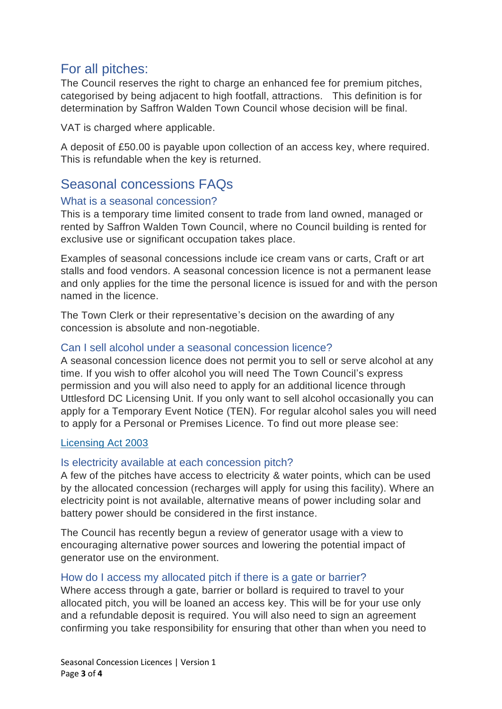### For all pitches:

The Council reserves the right to charge an enhanced fee for premium pitches, categorised by being adjacent to high footfall, attractions. This definition is for determination by Saffron Walden Town Council whose decision will be final.

VAT is charged where applicable.

A deposit of £50.00 is payable upon collection of an access key, where required. This is refundable when the key is returned.

## Seasonal concessions FAQs

#### What is a seasonal concession?

This is a temporary time limited consent to trade from land owned, managed or rented by Saffron Walden Town Council, where no Council building is rented for exclusive use or significant occupation takes place.

Examples of seasonal concessions include ice cream vans or carts, Craft or art stalls and food vendors. A seasonal concession licence is not a permanent lease and only applies for the time the personal licence is issued for and with the person named in the licence.

The Town Clerk or their representative's decision on the awarding of any concession is absolute and non-negotiable.

#### Can I sell alcohol under a seasonal concession licence?

A seasonal concession licence does not permit you to sell or serve alcohol at any time. If you wish to offer alcohol you will need The Town Council's express permission and you will also need to apply for an additional licence through Uttlesford DC Licensing Unit. If you only want to sell alcohol occasionally you can apply for a Temporary Event Notice (TEN). For regular alcohol sales you will need to apply for a Personal or Premises Licence. To find out more please see:

#### [Licensing Act 2003](https://www.adur-worthing.gov.uk/licensing-and-permits/licensing-act-2003/)

#### Is electricity available at each concession pitch?

A few of the pitches have access to electricity & water points, which can be used by the allocated concession (recharges will apply for using this facility). Where an electricity point is not available, alternative means of power including solar and battery power should be considered in the first instance.

The Council has recently begun a review of generator usage with a view to encouraging alternative power sources and lowering the potential impact of generator use on the environment.

#### How do I access my allocated pitch if there is a gate or barrier?

Where access through a gate, barrier or bollard is required to travel to your allocated pitch, you will be loaned an access key. This will be for your use only and a refundable deposit is required. You will also need to sign an agreement confirming you take responsibility for ensuring that other than when you need to